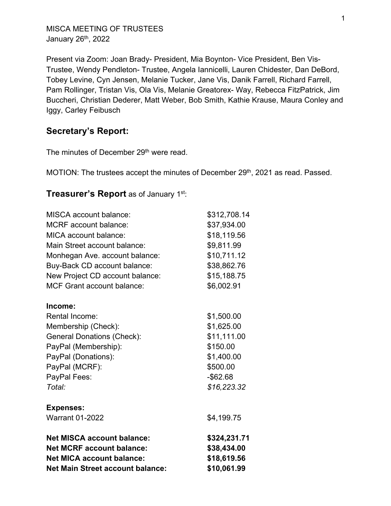MISCA MEETING OF TRUSTEES January 26th, 2022

Present via Zoom: Joan Brady- President, Mia Boynton- Vice President, Ben Vis-Trustee, Wendy Pendleton- Trustee, Angela Iannicelli, Lauren Chidester, Dan DeBord, Tobey Levine, Cyn Jensen, Melanie Tucker, Jane Vis, Danik Farrell, Richard Farrell, Pam Rollinger, Tristan Vis, Ola Vis, Melanie Greatorex- Way, Rebecca FitzPatrick, Jim Buccheri, Christian Dederer, Matt Weber, Bob Smith, Kathie Krause, Maura Conley and Iggy, Carley Feibusch

# **Secretary's Report:**

The minutes of December 29<sup>th</sup> were read.

MOTION: The trustees accept the minutes of December 29<sup>th</sup>, 2021 as read. Passed.

# **Treasurer's Report** as of January 1st:

| <b>MISCA</b> account balance:           | \$312,708.14 |
|-----------------------------------------|--------------|
| <b>MCRF</b> account balance:            | \$37,934.00  |
| MICA account balance:                   | \$18,119.56  |
| Main Street account balance:            | \$9,811.99   |
| Monhegan Ave. account balance:          | \$10,711.12  |
| Buy-Back CD account balance:            | \$38,862.76  |
| New Project CD account balance:         | \$15,188.75  |
| <b>MCF Grant account balance:</b>       | \$6,002.91   |
| Income:                                 |              |
| <b>Rental Income:</b>                   | \$1,500.00   |
| Membership (Check):                     | \$1,625.00   |
| <b>General Donations (Check):</b>       | \$11,111.00  |
| PayPal (Membership):                    | \$150.00     |
| PayPal (Donations):                     | \$1,400.00   |
| PayPal (MCRF):                          | \$500.00     |
| PayPal Fees:                            | $-$ \$62.68  |
| Total:                                  | \$16,223.32  |
| <b>Expenses:</b>                        |              |
| <b>Warrant 01-2022</b>                  | \$4,199.75   |
| <b>Net MISCA account balance:</b>       | \$324,231.71 |
| <b>Net MCRF account balance:</b>        | \$38,434.00  |
| <b>Net MICA account balance:</b>        | \$18,619.56  |
| <b>Net Main Street account balance:</b> | \$10,061.99  |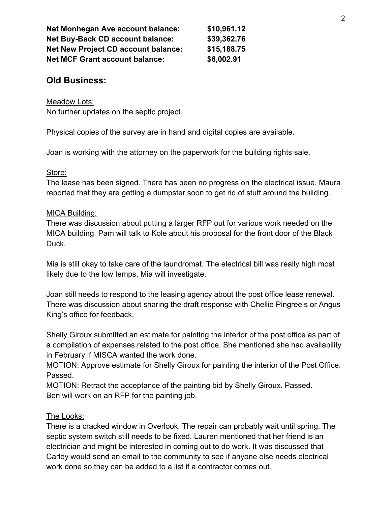| <b>Net Monhegan Ave account balance:</b>   | \$10,961.12 |
|--------------------------------------------|-------------|
| <b>Net Buy-Back CD account balance:</b>    | \$39,362.76 |
| <b>Net New Project CD account balance:</b> | \$15,188.75 |
| <b>Net MCF Grant account balance:</b>      | \$6,002.91  |

# **Old Business:**

Meadow Lots:

No further updates on the septic project.

Physical copies of the survey are in hand and digital copies are available.

Joan is working with the attorney on the paperwork for the building rights sale.

#### Store:

The lease has been signed. There has been no progress on the electrical issue. Maura reported that they are getting a dumpster soon to get rid of stuff around the building.

## MICA Building:

There was discussion about putting a larger RFP out for various work needed on the MICA building. Pam will talk to Kole about his proposal for the front door of the Black Duck.

Mia is still okay to take care of the laundromat. The electrical bill was really high most likely due to the low temps, Mia will investigate.

Joan still needs to respond to the leasing agency about the post office lease renewal. There was discussion about sharing the draft response with Chellie Pingree's or Angus King's office for feedback.

Shelly Giroux submitted an estimate for painting the interior of the post office as part of a compilation of expenses related to the post office. She mentioned she had availability in February if MISCA wanted the work done.

MOTION: Approve estimate for Shelly Giroux for painting the interior of the Post Office. Passed.

MOTION: Retract the acceptance of the painting bid by Shelly Giroux. Passed. Ben will work on an RFP for the painting job.

# The Looks:

There is a cracked window in Overlook. The repair can probably wait until spring. The septic system switch still needs to be fixed. Lauren mentioned that her friend is an electrician and might be interested in coming out to do work. It was discussed that Carley would send an email to the community to see if anyone else needs electrical work done so they can be added to a list if a contractor comes out.